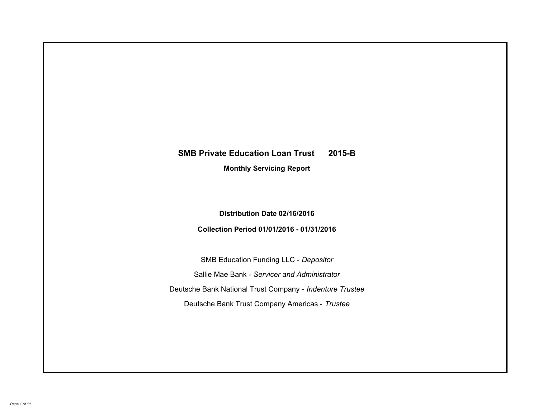# **SMB Private Education Loan Trust 2015-B Monthly Servicing Report**

## **Distribution Date 02/16/2016**

## **Collection Period 01/01/2016 - 01/31/2016**

SMB Education Funding LLC - *Depositor* Sallie Mae Bank - *Servicer and Administrator* Deutsche Bank National Trust Company - *Indenture Trustee* Deutsche Bank Trust Company Americas - *Trustee*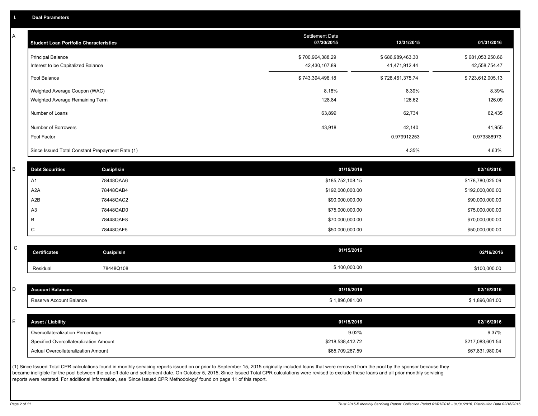A

| A | <b>Student Loan Portfolio Characteristics</b>   |                                                                                                                                                                                                          | <b>Settlement Date</b><br>07/30/2015 | 12/31/2015       | 01/31/2016       |
|---|-------------------------------------------------|----------------------------------------------------------------------------------------------------------------------------------------------------------------------------------------------------------|--------------------------------------|------------------|------------------|
|   | <b>Principal Balance</b>                        |                                                                                                                                                                                                          | \$700,964,388.29                     | \$686,989,463.30 | \$681,053,250.66 |
|   | Interest to be Capitalized Balance              |                                                                                                                                                                                                          | 42,430,107.89                        | 41,471,912.44    | 42,558,754.47    |
|   | Pool Balance                                    |                                                                                                                                                                                                          | \$743,394,496.18                     | \$728,461,375.74 | \$723,612,005.13 |
|   | Weighted Average Coupon (WAC)                   |                                                                                                                                                                                                          | 8.18%                                | 8.39%            | 8.39%            |
|   | Weighted Average Remaining Term                 |                                                                                                                                                                                                          | 128.84                               | 126.62           | 126.09           |
|   | Number of Loans                                 |                                                                                                                                                                                                          | 63,899                               | 62,734           | 62,435           |
|   | Number of Borrowers                             |                                                                                                                                                                                                          | 43,918                               | 42,140           | 41,955           |
|   | Pool Factor                                     |                                                                                                                                                                                                          |                                      | 0.979912253      | 0.973388973      |
|   | Since Issued Total Constant Prepayment Rate (1) |                                                                                                                                                                                                          |                                      | 4.35%            | 4.63%            |
|   |                                                 |                                                                                                                                                                                                          |                                      |                  |                  |
| R | <b>Debt Securities</b>                          | Cusip/Isin                                                                                                                                                                                               | 01/15/2016                           |                  | 02/16/2016       |
|   | A <sub>1</sub>                                  | 78448QAA6                                                                                                                                                                                                | \$185,752,108.15                     |                  | \$178,780,025.09 |
|   | A <sub>2</sub> A                                | 78448QAB4                                                                                                                                                                                                | \$192,000,000.00                     |                  | \$192,000,000.00 |
|   | A2B                                             | 78448QAC2                                                                                                                                                                                                | \$90,000,000.00                      |                  | \$90,000,000.00  |
|   | A <sub>3</sub>                                  | 78448QAD0                                                                                                                                                                                                | \$75,000,000.00                      |                  | \$75,000,000.00  |
|   | B                                               | 78448QAE8                                                                                                                                                                                                | \$70,000,000.00                      |                  | \$70,000,000.00  |
|   | C                                               | 78448QAF5                                                                                                                                                                                                | \$50,000,000.00                      |                  | \$50,000,000.00  |
| C | <b>Certificates</b>                             | Cusip/Isin                                                                                                                                                                                               | 01/15/2016                           |                  | 02/16/2016       |
|   |                                                 |                                                                                                                                                                                                          |                                      |                  |                  |
|   | Residual                                        | 78448Q108                                                                                                                                                                                                | \$100,000.00                         |                  | \$100,000.00     |
|   |                                                 |                                                                                                                                                                                                          |                                      |                  |                  |
| D | <b>Account Balances</b>                         |                                                                                                                                                                                                          | 01/15/2016                           |                  | 02/16/2016       |
|   | Reserve Account Balance                         |                                                                                                                                                                                                          | \$1,896,081.00                       |                  | \$1,896,081.00   |
| Ë | <b>Asset / Liability</b>                        |                                                                                                                                                                                                          | 01/15/2016                           |                  | 02/16/2016       |
|   | Overcollateralization Percentage                |                                                                                                                                                                                                          | 9.02%                                |                  | 9.37%            |
|   | Specified Overcollateralization Amount          |                                                                                                                                                                                                          | \$218,538,412.72                     |                  | \$217,083,601.54 |
|   | Actual Overcollateralization Amount             |                                                                                                                                                                                                          | \$65,709,267.59                      |                  | \$67,831,980.04  |
|   |                                                 | (1) Since Issued Total CPR calculations found in monthly servicing reports issued on or prior to September 15 2015 originally included loans that were removed from the pool by the sponsor because they |                                      |                  |                  |

(1) Since Issued Total CPR calculations found in monthly servicing reports issued on or prior to September 15, 2015 originally included loans that were removed from the pool by the sponsor because they became ineligible for the pool between the cut-off date and settlement date. On October 5, 2015, Since Issued Total CPR calculations were revised to exclude these loans and all prior monthly servicing reports were restated. For additional information, see 'Since Issued CPR Methodology' found on page 11 of this report.

C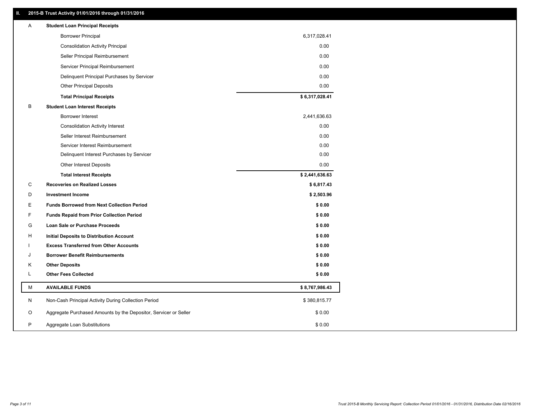## **II. 2015-B Trust Activity 01/01/2016 through 01/31/2016**

| <b>Borrower Principal</b><br>6,317,028.41<br><b>Consolidation Activity Principal</b><br>0.00<br>Seller Principal Reimbursement<br>0.00<br>Servicer Principal Reimbursement<br>0.00<br>0.00<br>Delinquent Principal Purchases by Servicer<br>0.00<br><b>Other Principal Deposits</b><br>\$6,317,028.41<br><b>Total Principal Receipts</b><br>в<br><b>Student Loan Interest Receipts</b><br><b>Borrower Interest</b><br>2,441,636.63<br>0.00<br><b>Consolidation Activity Interest</b><br>0.00<br>Seller Interest Reimbursement<br>0.00<br>Servicer Interest Reimbursement<br>0.00<br>Delinquent Interest Purchases by Servicer<br>Other Interest Deposits<br>0.00<br>\$2,441,636.63<br><b>Total Interest Receipts</b><br>C<br><b>Recoveries on Realized Losses</b><br>\$6,817.43<br>D<br><b>Investment Income</b><br>\$2,503.96<br>Ε<br><b>Funds Borrowed from Next Collection Period</b><br>\$0.00<br>F<br>\$0.00<br><b>Funds Repaid from Prior Collection Period</b><br>G<br>\$0.00<br>Loan Sale or Purchase Proceeds<br>\$0.00<br>H<br>Initial Deposits to Distribution Account<br><b>Excess Transferred from Other Accounts</b><br>\$0.00<br><b>Borrower Benefit Reimbursements</b><br>\$0.00<br>J<br><b>Other Deposits</b><br>Κ<br>\$0.00<br><b>Other Fees Collected</b><br>L<br>\$0.00<br>М<br><b>AVAILABLE FUNDS</b><br>\$8,767,986.43<br>N<br>Non-Cash Principal Activity During Collection Period<br>\$380,815.77<br>O<br>Aggregate Purchased Amounts by the Depositor, Servicer or Seller<br>\$0.00<br>P<br>\$0.00<br>Aggregate Loan Substitutions | Α | <b>Student Loan Principal Receipts</b> |  |
|-------------------------------------------------------------------------------------------------------------------------------------------------------------------------------------------------------------------------------------------------------------------------------------------------------------------------------------------------------------------------------------------------------------------------------------------------------------------------------------------------------------------------------------------------------------------------------------------------------------------------------------------------------------------------------------------------------------------------------------------------------------------------------------------------------------------------------------------------------------------------------------------------------------------------------------------------------------------------------------------------------------------------------------------------------------------------------------------------------------------------------------------------------------------------------------------------------------------------------------------------------------------------------------------------------------------------------------------------------------------------------------------------------------------------------------------------------------------------------------------------------------------------------------------------------------|---|----------------------------------------|--|
|                                                                                                                                                                                                                                                                                                                                                                                                                                                                                                                                                                                                                                                                                                                                                                                                                                                                                                                                                                                                                                                                                                                                                                                                                                                                                                                                                                                                                                                                                                                                                             |   |                                        |  |
|                                                                                                                                                                                                                                                                                                                                                                                                                                                                                                                                                                                                                                                                                                                                                                                                                                                                                                                                                                                                                                                                                                                                                                                                                                                                                                                                                                                                                                                                                                                                                             |   |                                        |  |
|                                                                                                                                                                                                                                                                                                                                                                                                                                                                                                                                                                                                                                                                                                                                                                                                                                                                                                                                                                                                                                                                                                                                                                                                                                                                                                                                                                                                                                                                                                                                                             |   |                                        |  |
|                                                                                                                                                                                                                                                                                                                                                                                                                                                                                                                                                                                                                                                                                                                                                                                                                                                                                                                                                                                                                                                                                                                                                                                                                                                                                                                                                                                                                                                                                                                                                             |   |                                        |  |
|                                                                                                                                                                                                                                                                                                                                                                                                                                                                                                                                                                                                                                                                                                                                                                                                                                                                                                                                                                                                                                                                                                                                                                                                                                                                                                                                                                                                                                                                                                                                                             |   |                                        |  |
|                                                                                                                                                                                                                                                                                                                                                                                                                                                                                                                                                                                                                                                                                                                                                                                                                                                                                                                                                                                                                                                                                                                                                                                                                                                                                                                                                                                                                                                                                                                                                             |   |                                        |  |
|                                                                                                                                                                                                                                                                                                                                                                                                                                                                                                                                                                                                                                                                                                                                                                                                                                                                                                                                                                                                                                                                                                                                                                                                                                                                                                                                                                                                                                                                                                                                                             |   |                                        |  |
|                                                                                                                                                                                                                                                                                                                                                                                                                                                                                                                                                                                                                                                                                                                                                                                                                                                                                                                                                                                                                                                                                                                                                                                                                                                                                                                                                                                                                                                                                                                                                             |   |                                        |  |
|                                                                                                                                                                                                                                                                                                                                                                                                                                                                                                                                                                                                                                                                                                                                                                                                                                                                                                                                                                                                                                                                                                                                                                                                                                                                                                                                                                                                                                                                                                                                                             |   |                                        |  |
|                                                                                                                                                                                                                                                                                                                                                                                                                                                                                                                                                                                                                                                                                                                                                                                                                                                                                                                                                                                                                                                                                                                                                                                                                                                                                                                                                                                                                                                                                                                                                             |   |                                        |  |
|                                                                                                                                                                                                                                                                                                                                                                                                                                                                                                                                                                                                                                                                                                                                                                                                                                                                                                                                                                                                                                                                                                                                                                                                                                                                                                                                                                                                                                                                                                                                                             |   |                                        |  |
|                                                                                                                                                                                                                                                                                                                                                                                                                                                                                                                                                                                                                                                                                                                                                                                                                                                                                                                                                                                                                                                                                                                                                                                                                                                                                                                                                                                                                                                                                                                                                             |   |                                        |  |
|                                                                                                                                                                                                                                                                                                                                                                                                                                                                                                                                                                                                                                                                                                                                                                                                                                                                                                                                                                                                                                                                                                                                                                                                                                                                                                                                                                                                                                                                                                                                                             |   |                                        |  |
|                                                                                                                                                                                                                                                                                                                                                                                                                                                                                                                                                                                                                                                                                                                                                                                                                                                                                                                                                                                                                                                                                                                                                                                                                                                                                                                                                                                                                                                                                                                                                             |   |                                        |  |
|                                                                                                                                                                                                                                                                                                                                                                                                                                                                                                                                                                                                                                                                                                                                                                                                                                                                                                                                                                                                                                                                                                                                                                                                                                                                                                                                                                                                                                                                                                                                                             |   |                                        |  |
|                                                                                                                                                                                                                                                                                                                                                                                                                                                                                                                                                                                                                                                                                                                                                                                                                                                                                                                                                                                                                                                                                                                                                                                                                                                                                                                                                                                                                                                                                                                                                             |   |                                        |  |
|                                                                                                                                                                                                                                                                                                                                                                                                                                                                                                                                                                                                                                                                                                                                                                                                                                                                                                                                                                                                                                                                                                                                                                                                                                                                                                                                                                                                                                                                                                                                                             |   |                                        |  |
|                                                                                                                                                                                                                                                                                                                                                                                                                                                                                                                                                                                                                                                                                                                                                                                                                                                                                                                                                                                                                                                                                                                                                                                                                                                                                                                                                                                                                                                                                                                                                             |   |                                        |  |
|                                                                                                                                                                                                                                                                                                                                                                                                                                                                                                                                                                                                                                                                                                                                                                                                                                                                                                                                                                                                                                                                                                                                                                                                                                                                                                                                                                                                                                                                                                                                                             |   |                                        |  |
|                                                                                                                                                                                                                                                                                                                                                                                                                                                                                                                                                                                                                                                                                                                                                                                                                                                                                                                                                                                                                                                                                                                                                                                                                                                                                                                                                                                                                                                                                                                                                             |   |                                        |  |
|                                                                                                                                                                                                                                                                                                                                                                                                                                                                                                                                                                                                                                                                                                                                                                                                                                                                                                                                                                                                                                                                                                                                                                                                                                                                                                                                                                                                                                                                                                                                                             |   |                                        |  |
|                                                                                                                                                                                                                                                                                                                                                                                                                                                                                                                                                                                                                                                                                                                                                                                                                                                                                                                                                                                                                                                                                                                                                                                                                                                                                                                                                                                                                                                                                                                                                             |   |                                        |  |
|                                                                                                                                                                                                                                                                                                                                                                                                                                                                                                                                                                                                                                                                                                                                                                                                                                                                                                                                                                                                                                                                                                                                                                                                                                                                                                                                                                                                                                                                                                                                                             |   |                                        |  |
|                                                                                                                                                                                                                                                                                                                                                                                                                                                                                                                                                                                                                                                                                                                                                                                                                                                                                                                                                                                                                                                                                                                                                                                                                                                                                                                                                                                                                                                                                                                                                             |   |                                        |  |
|                                                                                                                                                                                                                                                                                                                                                                                                                                                                                                                                                                                                                                                                                                                                                                                                                                                                                                                                                                                                                                                                                                                                                                                                                                                                                                                                                                                                                                                                                                                                                             |   |                                        |  |
|                                                                                                                                                                                                                                                                                                                                                                                                                                                                                                                                                                                                                                                                                                                                                                                                                                                                                                                                                                                                                                                                                                                                                                                                                                                                                                                                                                                                                                                                                                                                                             |   |                                        |  |
|                                                                                                                                                                                                                                                                                                                                                                                                                                                                                                                                                                                                                                                                                                                                                                                                                                                                                                                                                                                                                                                                                                                                                                                                                                                                                                                                                                                                                                                                                                                                                             |   |                                        |  |
|                                                                                                                                                                                                                                                                                                                                                                                                                                                                                                                                                                                                                                                                                                                                                                                                                                                                                                                                                                                                                                                                                                                                                                                                                                                                                                                                                                                                                                                                                                                                                             |   |                                        |  |
|                                                                                                                                                                                                                                                                                                                                                                                                                                                                                                                                                                                                                                                                                                                                                                                                                                                                                                                                                                                                                                                                                                                                                                                                                                                                                                                                                                                                                                                                                                                                                             |   |                                        |  |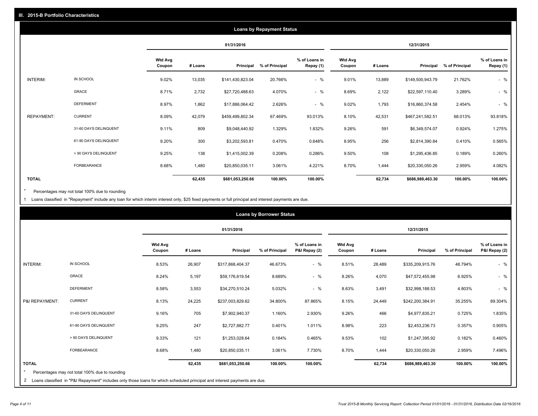|                   |                       |                          |         |                  | <b>Loans by Repayment Status</b> |                            |                          |         |                  |                |                            |
|-------------------|-----------------------|--------------------------|---------|------------------|----------------------------------|----------------------------|--------------------------|---------|------------------|----------------|----------------------------|
|                   |                       |                          |         | 01/31/2016       |                                  |                            |                          |         | 12/31/2015       |                |                            |
|                   |                       | <b>Wtd Avg</b><br>Coupon | # Loans | Principal        | % of Principal                   | % of Loans in<br>Repay (1) | <b>Wtd Avg</b><br>Coupon | # Loans | Principal        | % of Principal | % of Loans in<br>Repay (1) |
| INTERIM:          | IN SCHOOL             | 9.02%                    | 13,035  | \$141,430,823.04 | 20.766%                          | $-$ %                      | 9.01%                    | 13,889  | \$149,500,943.79 | 21.762%        | $-$ %                      |
|                   | <b>GRACE</b>          | 8.71%                    | 2,732   | \$27,720,488.63  | 4.070%                           | $-$ %                      | 8.69%                    | 2,122   | \$22,597,110.40  | 3.289%         | $-$ %                      |
|                   | <b>DEFERMENT</b>      | 8.97%                    | 1,862   | \$17,886,064.42  | 2.626%                           | $-$ %                      | 9.02%                    | 1,793   | \$16,860,374.58  | 2.454%         | $-$ %                      |
| <b>REPAYMENT:</b> | <b>CURRENT</b>        | 8.09%                    | 42,079  | \$459,499,802.34 | 67.469%                          | 93.013%                    | 8.10%                    | 42,531  | \$467,241,582.51 | 68.013%        | 93.818%                    |
|                   | 31-60 DAYS DELINQUENT | 9.11%                    | 809     | \$9,048,440.92   | 1.329%                           | 1.832%                     | 9.26%                    | 591     | \$6,349,574.07   | 0.924%         | 1.275%                     |
|                   | 61-90 DAYS DELINQUENT | 9.20%                    | 300     | \$3,202,593.81   | 0.470%                           | 0.648%                     | 8.95%                    | 256     | \$2,814,390.84   | 0.410%         | 0.565%                     |
|                   | > 90 DAYS DELINQUENT  | 9.25%                    | 138     | \$1,415,002.39   | 0.208%                           | 0.286%                     | 9.50%                    | 108     | \$1,295,436.85   | 0.189%         | 0.260%                     |
|                   | FORBEARANCE           | 8.68%                    | 1,480   | \$20,850,035.11  | 3.061%                           | 4.221%                     | 8.70%                    | 1,444   | \$20,330,050.26  | 2.959%         | 4.082%                     |
| <b>TOTAL</b>      |                       |                          | 62,435  | \$681,053,250.66 | 100.00%                          | 100.00%                    |                          | 62,734  | \$686,989,463.30 | 100.00%        | 100.00%                    |

Percentages may not total 100% due to rounding  $^\star$ 

1 Loans classified in "Repayment" include any loan for which interim interest only, \$25 fixed payments or full principal and interest payments are due.

|                 |                                                                                                                            |                          |         |                  | <b>Loans by Borrower Status</b> |                                |                          |         |                  |                |                                |
|-----------------|----------------------------------------------------------------------------------------------------------------------------|--------------------------|---------|------------------|---------------------------------|--------------------------------|--------------------------|---------|------------------|----------------|--------------------------------|
|                 |                                                                                                                            |                          |         | 01/31/2016       |                                 |                                |                          |         | 12/31/2015       |                |                                |
|                 |                                                                                                                            | <b>Wtd Avg</b><br>Coupon | # Loans | Principal        | % of Principal                  | % of Loans in<br>P&I Repay (2) | <b>Wtd Avg</b><br>Coupon | # Loans | Principal        | % of Principal | % of Loans in<br>P&I Repay (2) |
| <b>INTERIM:</b> | IN SCHOOL                                                                                                                  | 8.53%                    | 26,907  | \$317,868,404.37 | 46.673%                         | $-$ %                          | 8.51%                    | 28,489  | \$335,209,915.76 | 48.794%        | $-$ %                          |
|                 | <b>GRACE</b>                                                                                                               | 8.24%                    | 5,197   | \$59,176,619.54  | 8.689%                          | $-$ %                          | 8.26%                    | 4,070   | \$47,572,455.98  | 6.925%         | $-$ %                          |
|                 | <b>DEFERMENT</b>                                                                                                           | 8.58%                    | 3,553   | \$34,270,510.24  | 5.032%                          | $-$ %                          | 8.63%                    | 3,491   | \$32,998,188.53  | 4.803%         | $-$ %                          |
| P&I REPAYMENT:  | <b>CURRENT</b>                                                                                                             | 8.13%                    | 24,225  | \$237,003,829.62 | 34.800%                         | 87.865%                        | 8.15%                    | 24,449  | \$242,200,384.91 | 35.255%        | 89.304%                        |
|                 | 31-60 DAYS DELINQUENT                                                                                                      | 9.16%                    | 705     | \$7,902,940.37   | 1.160%                          | 2.930%                         | 9.26%                    | 466     | \$4,977,835.21   | 0.725%         | 1.835%                         |
|                 | 61-90 DAYS DELINQUENT                                                                                                      | 9.25%                    | 247     | \$2,727,882.77   | 0.401%                          | 1.011%                         | 8.98%                    | 223     | \$2,453,236.73   | 0.357%         | 0.905%                         |
|                 | > 90 DAYS DELINQUENT                                                                                                       | 9.33%                    | 121     | \$1,253,028.64   | 0.184%                          | 0.465%                         | 9.53%                    | 102     | \$1,247,395.92   | 0.182%         | 0.460%                         |
|                 | FORBEARANCE                                                                                                                | 8.68%                    | 1,480   | \$20,850,035.11  | 3.061%                          | 7.730%                         | 8.70%                    | 1,444   | \$20,330,050.26  | 2.959%         | 7.496%                         |
| <b>TOTAL</b>    | Percentages may not total 100% due to rounding                                                                             |                          | 62,435  | \$681,053,250.66 | 100.00%                         | 100.00%                        |                          | 62,734  | \$686,989,463.30 | 100.00%        | 100.00%                        |
| $\mathbf{2}$    | Loans classified in "P&I Repayment" includes only those loans for which scheduled principal and interest payments are due. |                          |         |                  |                                 |                                |                          |         |                  |                |                                |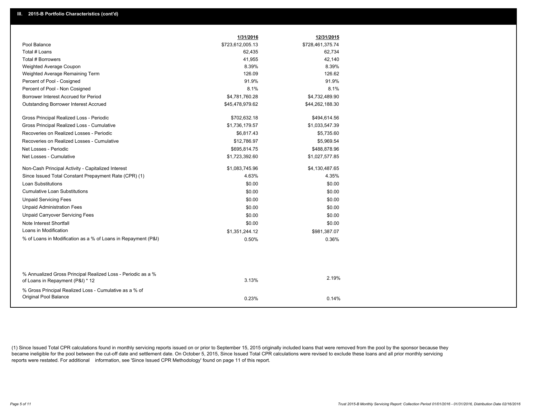| 1/31/2016<br>12/31/2015                                                                                            |
|--------------------------------------------------------------------------------------------------------------------|
| Pool Balance<br>\$723,612,005.13<br>\$728,461,375.74                                                               |
| Total # Loans<br>62,435<br>62,734                                                                                  |
| Total # Borrowers<br>41,955<br>42,140                                                                              |
| 8.39%<br>Weighted Average Coupon<br>8.39%                                                                          |
| 126.09<br>126.62<br>Weighted Average Remaining Term                                                                |
| 91.9%<br>91.9%<br>Percent of Pool - Cosigned                                                                       |
| 8.1%<br>8.1%<br>Percent of Pool - Non Cosigned                                                                     |
| Borrower Interest Accrued for Period<br>\$4,781,760.28<br>\$4,732,489.90                                           |
| <b>Outstanding Borrower Interest Accrued</b><br>\$45,478,979.62<br>\$44,262,188.30                                 |
| Gross Principal Realized Loss - Periodic<br>\$702,632.18<br>\$494,614.56                                           |
| Gross Principal Realized Loss - Cumulative<br>\$1,736,179.57<br>\$1,033,547.39                                     |
| Recoveries on Realized Losses - Periodic<br>\$6,817.43<br>\$5,735.60                                               |
| \$5,969.54<br>Recoveries on Realized Losses - Cumulative<br>\$12,786.97                                            |
| Net Losses - Periodic<br>\$695,814.75<br>\$488,878.96                                                              |
| Net Losses - Cumulative<br>\$1,723,392.60<br>\$1,027,577.85                                                        |
| Non-Cash Principal Activity - Capitalized Interest<br>\$1,083,745.96<br>\$4,130,487.65                             |
| Since Issued Total Constant Prepayment Rate (CPR) (1)<br>4.63%<br>4.35%                                            |
| <b>Loan Substitutions</b><br>\$0.00<br>\$0.00                                                                      |
| <b>Cumulative Loan Substitutions</b><br>\$0.00<br>\$0.00                                                           |
| <b>Unpaid Servicing Fees</b><br>\$0.00<br>\$0.00                                                                   |
| <b>Unpaid Administration Fees</b><br>\$0.00<br>\$0.00                                                              |
| <b>Unpaid Carryover Servicing Fees</b><br>\$0.00<br>\$0.00                                                         |
| Note Interest Shortfall<br>\$0.00<br>\$0.00                                                                        |
| Loans in Modification<br>\$1,351,244.12<br>\$981,387.07                                                            |
| % of Loans in Modification as a % of Loans in Repayment (P&I)<br>0.50%<br>0.36%                                    |
|                                                                                                                    |
|                                                                                                                    |
| % Annualized Gross Principal Realized Loss - Periodic as a %<br>2.19%<br>3.13%<br>of Loans in Repayment (P&I) * 12 |
| % Gross Principal Realized Loss - Cumulative as a % of                                                             |
| Original Pool Balance<br>0.23%<br>0.14%                                                                            |

(1) Since Issued Total CPR calculations found in monthly servicing reports issued on or prior to September 15, 2015 originally included loans that were removed from the pool by the sponsor because they became ineligible for the pool between the cut-off date and settlement date. On October 5, 2015, Since Issued Total CPR calculations were revised to exclude these loans and all prior monthly servicing reports were restated. For additional information, see 'Since Issued CPR Methodology' found on page 11 of this report.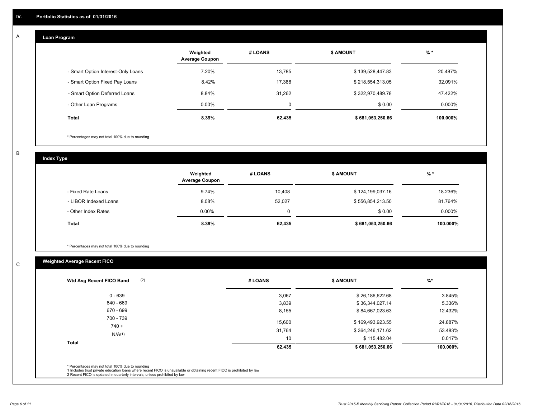#### **Loan Program**  A

|                                    | Weighted<br><b>Average Coupon</b> | # LOANS     | <b>S AMOUNT</b>  | $%$ *    |
|------------------------------------|-----------------------------------|-------------|------------------|----------|
| - Smart Option Interest-Only Loans | 7.20%                             | 13,785      | \$139,528,447.83 | 20.487%  |
| - Smart Option Fixed Pay Loans     | 8.42%                             | 17.388      | \$218,554,313.05 | 32.091%  |
| - Smart Option Deferred Loans      | 8.84%                             | 31.262      | \$322,970,489.78 | 47.422%  |
| - Other Loan Programs              | $0.00\%$                          | $\mathbf 0$ | \$0.00           | 0.000%   |
| Total                              | 8.39%                             | 62,435      | \$681,053,250.66 | 100.000% |

\* Percentages may not total 100% due to rounding

B

C

**Index Type**

|                       | Weighted<br><b>Average Coupon</b> | # LOANS | <b>\$ AMOUNT</b> | $%$ *     |
|-----------------------|-----------------------------------|---------|------------------|-----------|
| - Fixed Rate Loans    | 9.74%                             | 10.408  | \$124,199,037.16 | 18.236%   |
| - LIBOR Indexed Loans | 8.08%                             | 52,027  | \$556,854,213.50 | 81.764%   |
| - Other Index Rates   | $0.00\%$                          |         | \$0.00           | $0.000\%$ |
| Total                 | 8.39%                             | 62,435  | \$681,053,250.66 | 100.000%  |

\* Percentages may not total 100% due to rounding

## **Weighted Average Recent FICO**

| (2)<br>Wtd Avg Recent FICO Band                                                                                                                                                                                                                          | # LOANS | <b>\$ AMOUNT</b> | $%$ *    |
|----------------------------------------------------------------------------------------------------------------------------------------------------------------------------------------------------------------------------------------------------------|---------|------------------|----------|
| $0 - 639$                                                                                                                                                                                                                                                | 3,067   | \$26,186,622.68  | 3.845%   |
| 640 - 669                                                                                                                                                                                                                                                | 3,839   | \$36,344,027.14  | 5.336%   |
| 670 - 699                                                                                                                                                                                                                                                | 8,155   | \$84,667,023.63  | 12.432%  |
| 700 - 739<br>$740 +$                                                                                                                                                                                                                                     | 15,600  | \$169,493,923.55 | 24.887%  |
|                                                                                                                                                                                                                                                          | 31,764  | \$364,246,171.62 | 53.483%  |
| N/A(1)                                                                                                                                                                                                                                                   | 10      | \$115,482.04     | 0.017%   |
| <b>Total</b>                                                                                                                                                                                                                                             | 62,435  | \$681,053,250.66 | 100.000% |
|                                                                                                                                                                                                                                                          |         |                  |          |
| * Percentages may not total 100% due to rounding<br>1 Includes trust private education loans where recent FICO is unavailable or obtaining recent FICO is prohibited by law<br>2 Recent FICO is updated in quarterly intervals; unless prohibited by law |         |                  |          |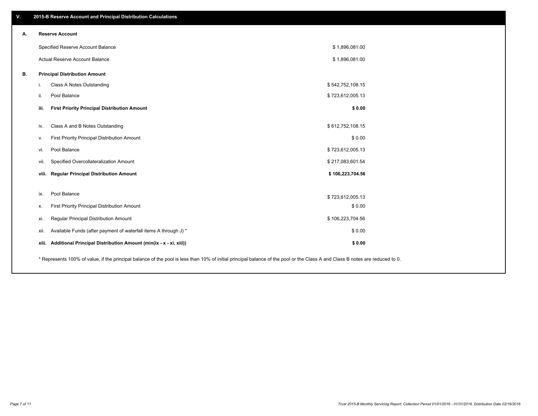| V. | 2015-B Reserve Account and Principal Distribution Calculations                                                                                                                |                  |  |
|----|-------------------------------------------------------------------------------------------------------------------------------------------------------------------------------|------------------|--|
| А. | <b>Reserve Account</b>                                                                                                                                                        |                  |  |
|    | Specified Reserve Account Balance                                                                                                                                             | \$1,896,081.00   |  |
|    | Actual Reserve Account Balance                                                                                                                                                | \$1,896,081.00   |  |
| В. | <b>Principal Distribution Amount</b>                                                                                                                                          |                  |  |
|    | Class A Notes Outstanding<br>i.                                                                                                                                               | \$542,752,108.15 |  |
|    | Pool Balance<br>ii.                                                                                                                                                           | \$723,612,005.13 |  |
|    | iii.<br><b>First Priority Principal Distribution Amount</b>                                                                                                                   | \$0.00           |  |
|    | Class A and B Notes Outstanding<br>iv.                                                                                                                                        | \$612,752,108.15 |  |
|    | First Priority Principal Distribution Amount<br>v.                                                                                                                            | \$0.00           |  |
|    | Pool Balance<br>vi.                                                                                                                                                           | \$723,612,005.13 |  |
|    | Specified Overcollateralization Amount<br>vii.                                                                                                                                | \$217,083,601.54 |  |
|    | <b>Regular Principal Distribution Amount</b><br>viii.                                                                                                                         | \$106,223,704.56 |  |
|    |                                                                                                                                                                               |                  |  |
|    | Pool Balance<br>ix.                                                                                                                                                           | \$723,612,005.13 |  |
|    | First Priority Principal Distribution Amount<br>х.                                                                                                                            | \$0.00           |  |
|    | Regular Principal Distribution Amount<br>xi.                                                                                                                                  | \$106,223,704.56 |  |
|    | Available Funds (after payment of waterfall items A through J) *<br>xii.                                                                                                      | \$0.00           |  |
|    | xiii. Additional Principal Distribution Amount (min(ix - x - xi, xiii))                                                                                                       | \$0.00           |  |
|    | * Represents 100% of value, if the principal balance of the pool is less than 10% of initial principal balance of the pool or the Class A and Class B notes are reduced to 0. |                  |  |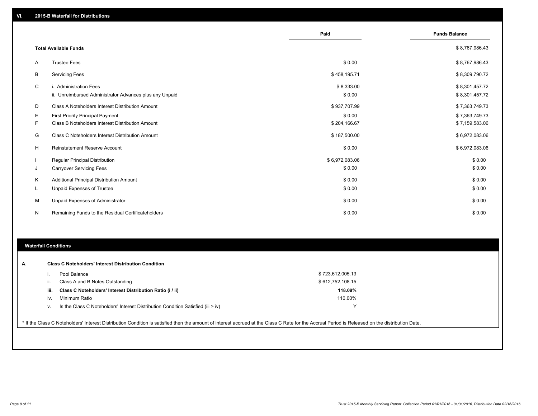|          |                                                         | Paid           | <b>Funds Balance</b> |
|----------|---------------------------------------------------------|----------------|----------------------|
|          | <b>Total Available Funds</b>                            |                | \$8,767,986.43       |
| A        | <b>Trustee Fees</b>                                     | \$0.00         | \$8,767,986.43       |
| B        | <b>Servicing Fees</b>                                   | \$458,195.71   | \$8,309,790.72       |
| C        | i. Administration Fees                                  | \$8,333.00     | \$8,301,457.72       |
|          | ii. Unreimbursed Administrator Advances plus any Unpaid | \$0.00         | \$8,301,457.72       |
| D        | Class A Noteholders Interest Distribution Amount        | \$937,707.99   | \$7,363,749.73       |
| Ε        | <b>First Priority Principal Payment</b>                 | \$0.00         | \$7,363,749.73       |
| F        | Class B Noteholders Interest Distribution Amount        | \$204,166.67   | \$7,159,583.06       |
| G        | Class C Noteholders Interest Distribution Amount        | \$187,500.00   | \$6,972,083.06       |
| н        | Reinstatement Reserve Account                           | \$0.00         | \$6,972,083.06       |
|          | <b>Regular Principal Distribution</b>                   | \$6,972,083.06 | \$0.00               |
| J        | <b>Carryover Servicing Fees</b>                         | \$0.00         | \$0.00               |
| K        | Additional Principal Distribution Amount                | \$0.00         | \$0.00               |
| <b>L</b> | <b>Unpaid Expenses of Trustee</b>                       | \$0.00         | \$0.00               |
| М        | Unpaid Expenses of Administrator                        | \$0.00         | \$0.00               |
| N        | Remaining Funds to the Residual Certificateholders      | \$0.00         | \$0.00               |

### **Waterfall Conditions**

| А. |      | <b>Class C Noteholders' Interest Distribution Condition</b>                      |                  |
|----|------|----------------------------------------------------------------------------------|------------------|
|    |      | Pool Balance                                                                     | \$723,612,005.13 |
|    | H.   | Class A and B Notes Outstanding                                                  | \$612,752,108.15 |
|    | iii. | Class C Noteholders' Interest Distribution Ratio (i / ii)                        | 118.09%          |
|    | iv.  | Minimum Ratio                                                                    | 110.00%          |
|    | V.   | Is the Class C Noteholders' Interest Distribution Condition Satisfied (iii > iv) | $\checkmark$     |
|    |      |                                                                                  |                  |

\* If the Class C Noteholders' Interest Distribution Condition is satisfied then the amount of interest accrued at the Class C Rate for the Accrual Period is Released on the distribution Date.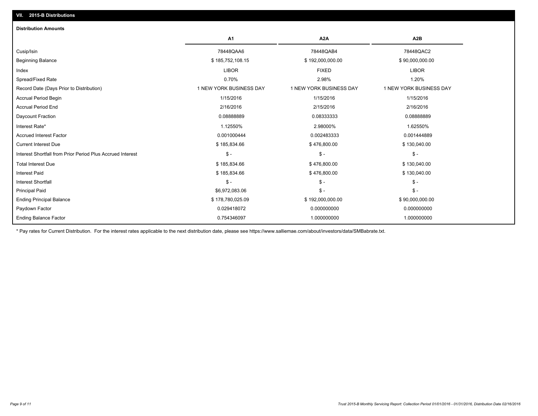| <b>Distribution Amounts</b>                                |                         |                         |                         |
|------------------------------------------------------------|-------------------------|-------------------------|-------------------------|
|                                                            | A1                      | A <sub>2</sub> A        | A <sub>2</sub> B        |
| Cusip/Isin                                                 | 78448QAA6               | 78448QAB4               | 78448QAC2               |
| <b>Beginning Balance</b>                                   | \$185,752,108.15        | \$192,000,000.00        | \$90,000,000.00         |
| Index                                                      | <b>LIBOR</b>            | <b>FIXED</b>            | <b>LIBOR</b>            |
| Spread/Fixed Rate                                          | 0.70%                   | 2.98%                   | 1.20%                   |
| Record Date (Days Prior to Distribution)                   | 1 NEW YORK BUSINESS DAY | 1 NEW YORK BUSINESS DAY | 1 NEW YORK BUSINESS DAY |
| <b>Accrual Period Begin</b>                                | 1/15/2016               | 1/15/2016               | 1/15/2016               |
| <b>Accrual Period End</b>                                  | 2/16/2016               | 2/15/2016               | 2/16/2016               |
| Daycount Fraction                                          | 0.08888889              | 0.08333333              | 0.08888889              |
| Interest Rate*                                             | 1.12550%                | 2.98000%                | 1.62550%                |
| <b>Accrued Interest Factor</b>                             | 0.001000444             | 0.002483333             | 0.001444889             |
| <b>Current Interest Due</b>                                | \$185,834.66            | \$476,800.00            | \$130,040.00            |
| Interest Shortfall from Prior Period Plus Accrued Interest | $\mathsf{\$}$ -         | $\mathsf{\$}$ -         | $\frac{2}{3}$ -         |
| <b>Total Interest Due</b>                                  | \$185,834.66            | \$476,800.00            | \$130,040.00            |
| <b>Interest Paid</b>                                       | \$185,834.66            | \$476,800.00            | \$130,040.00            |
| <b>Interest Shortfall</b>                                  | $\mathsf{\$}$ -         | $\mathsf{\$}$ -         | $\mathsf{\$}$ -         |
| <b>Principal Paid</b>                                      | \$6,972,083.06          | $\mathsf{\$}$ -         | $S -$                   |
| <b>Ending Principal Balance</b>                            | \$178,780,025.09        | \$192,000,000.00        | \$90,000,000.00         |
| Paydown Factor                                             | 0.029418072             | 0.000000000             | 0.000000000             |
| <b>Ending Balance Factor</b>                               | 0.754346097             | 1.000000000             | 1.000000000             |

\* Pay rates for Current Distribution. For the interest rates applicable to the next distribution date, please see https://www.salliemae.com/about/investors/data/SMBabrate.txt.

**VII. 2015-B Distributions**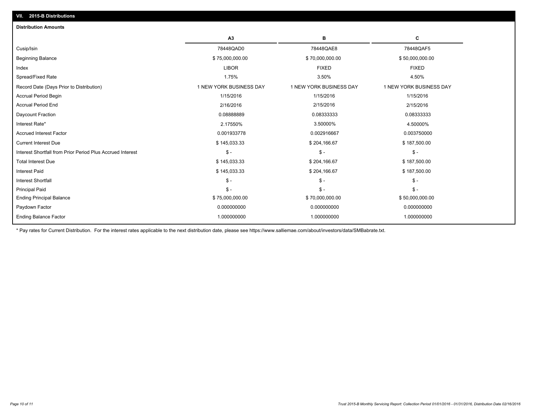| A <sub>3</sub><br>в<br>c<br>78448QAD0<br>78448QAE8<br>78448QAF5<br>\$75,000,000.00<br>\$70,000,000.00<br>\$50,000,000.00<br><b>LIBOR</b><br><b>FIXED</b><br><b>FIXED</b><br>1.75%<br>3.50%<br>4.50%<br>1 NEW YORK BUSINESS DAY<br>1 NEW YORK BUSINESS DAY<br>1 NEW YORK BUSINESS DAY<br>1/15/2016<br>1/15/2016<br>1/15/2016<br>2/15/2016<br>2/16/2016<br>2/15/2016<br>0.0888889<br>0.08333333<br>0.08333333<br>2.17550%<br>3.50000%<br>4.50000%<br>0.001933778<br>0.002916667<br>0.003750000<br>\$145,033.33<br>\$204,166.67<br>\$187,500.00<br>$\mathbb{S}$ -<br>$\mathsf{\$}$ -<br>$\frac{2}{3}$ -<br>\$145,033.33<br>\$204,166.67<br>\$187,500.00<br>\$145,033.33<br>\$204,166.67<br>\$187,500.00<br>$\mathbb{S}$ -<br>$\mathsf{\$}$ -<br>$\mathsf{\$}$ -<br>$S -$<br>$\mathsf S$ -<br>$\mathsf{\$}$ -<br>\$75,000,000.00<br>\$70,000,000.00<br>\$50,000,000.00<br>0.000000000<br>0.000000000<br>0.000000000 | <b>Distribution Amounts</b>                                |  |  |
|-----------------------------------------------------------------------------------------------------------------------------------------------------------------------------------------------------------------------------------------------------------------------------------------------------------------------------------------------------------------------------------------------------------------------------------------------------------------------------------------------------------------------------------------------------------------------------------------------------------------------------------------------------------------------------------------------------------------------------------------------------------------------------------------------------------------------------------------------------------------------------------------------------------------|------------------------------------------------------------|--|--|
|                                                                                                                                                                                                                                                                                                                                                                                                                                                                                                                                                                                                                                                                                                                                                                                                                                                                                                                 |                                                            |  |  |
|                                                                                                                                                                                                                                                                                                                                                                                                                                                                                                                                                                                                                                                                                                                                                                                                                                                                                                                 | Cusip/Isin                                                 |  |  |
|                                                                                                                                                                                                                                                                                                                                                                                                                                                                                                                                                                                                                                                                                                                                                                                                                                                                                                                 | <b>Beginning Balance</b>                                   |  |  |
|                                                                                                                                                                                                                                                                                                                                                                                                                                                                                                                                                                                                                                                                                                                                                                                                                                                                                                                 | Index                                                      |  |  |
|                                                                                                                                                                                                                                                                                                                                                                                                                                                                                                                                                                                                                                                                                                                                                                                                                                                                                                                 | Spread/Fixed Rate                                          |  |  |
|                                                                                                                                                                                                                                                                                                                                                                                                                                                                                                                                                                                                                                                                                                                                                                                                                                                                                                                 | Record Date (Days Prior to Distribution)                   |  |  |
|                                                                                                                                                                                                                                                                                                                                                                                                                                                                                                                                                                                                                                                                                                                                                                                                                                                                                                                 | <b>Accrual Period Begin</b>                                |  |  |
|                                                                                                                                                                                                                                                                                                                                                                                                                                                                                                                                                                                                                                                                                                                                                                                                                                                                                                                 | <b>Accrual Period End</b>                                  |  |  |
|                                                                                                                                                                                                                                                                                                                                                                                                                                                                                                                                                                                                                                                                                                                                                                                                                                                                                                                 | Daycount Fraction                                          |  |  |
|                                                                                                                                                                                                                                                                                                                                                                                                                                                                                                                                                                                                                                                                                                                                                                                                                                                                                                                 | Interest Rate*                                             |  |  |
|                                                                                                                                                                                                                                                                                                                                                                                                                                                                                                                                                                                                                                                                                                                                                                                                                                                                                                                 | <b>Accrued Interest Factor</b>                             |  |  |
|                                                                                                                                                                                                                                                                                                                                                                                                                                                                                                                                                                                                                                                                                                                                                                                                                                                                                                                 | <b>Current Interest Due</b>                                |  |  |
|                                                                                                                                                                                                                                                                                                                                                                                                                                                                                                                                                                                                                                                                                                                                                                                                                                                                                                                 | Interest Shortfall from Prior Period Plus Accrued Interest |  |  |
|                                                                                                                                                                                                                                                                                                                                                                                                                                                                                                                                                                                                                                                                                                                                                                                                                                                                                                                 | <b>Total Interest Due</b>                                  |  |  |
|                                                                                                                                                                                                                                                                                                                                                                                                                                                                                                                                                                                                                                                                                                                                                                                                                                                                                                                 | <b>Interest Paid</b>                                       |  |  |
|                                                                                                                                                                                                                                                                                                                                                                                                                                                                                                                                                                                                                                                                                                                                                                                                                                                                                                                 | <b>Interest Shortfall</b>                                  |  |  |
|                                                                                                                                                                                                                                                                                                                                                                                                                                                                                                                                                                                                                                                                                                                                                                                                                                                                                                                 | <b>Principal Paid</b>                                      |  |  |
|                                                                                                                                                                                                                                                                                                                                                                                                                                                                                                                                                                                                                                                                                                                                                                                                                                                                                                                 | <b>Ending Principal Balance</b>                            |  |  |
|                                                                                                                                                                                                                                                                                                                                                                                                                                                                                                                                                                                                                                                                                                                                                                                                                                                                                                                 | Paydown Factor                                             |  |  |
| 1.000000000<br>1.000000000<br>1.000000000                                                                                                                                                                                                                                                                                                                                                                                                                                                                                                                                                                                                                                                                                                                                                                                                                                                                       | <b>Ending Balance Factor</b>                               |  |  |

\* Pay rates for Current Distribution. For the interest rates applicable to the next distribution date, please see https://www.salliemae.com/about/investors/data/SMBabrate.txt.

**VII. 2015-B Distributions**